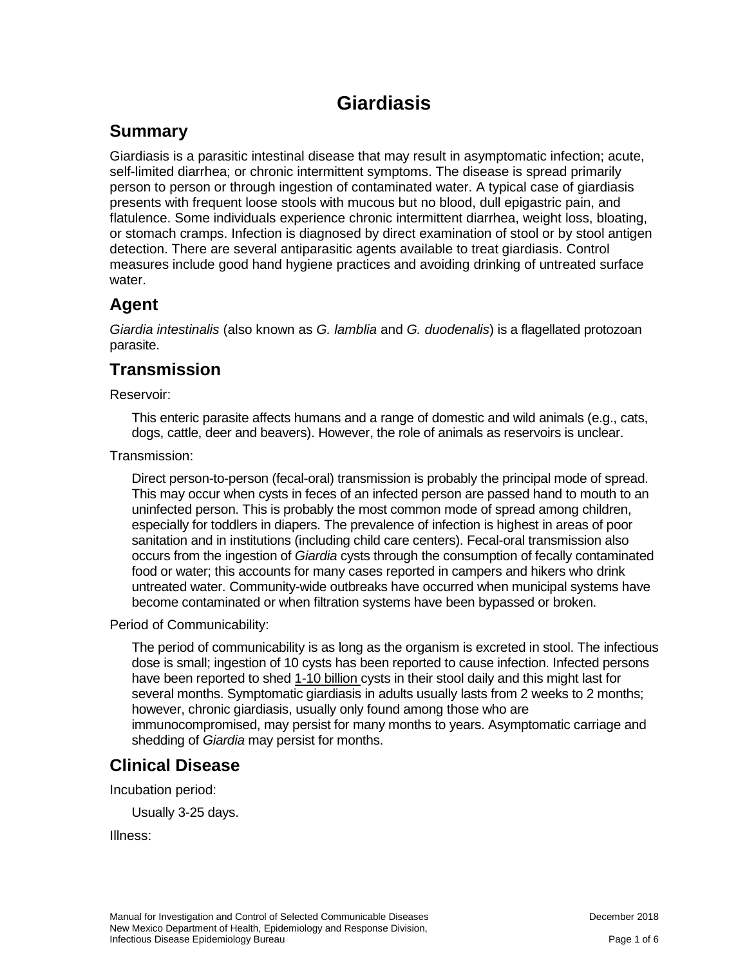# **Giardiasis**

#### **Summary**

Giardiasis is a parasitic intestinal disease that may result in asymptomatic infection; acute, self-limited diarrhea; or chronic intermittent symptoms. The disease is spread primarily person to person or through ingestion of contaminated water. A typical case of giardiasis presents with frequent loose stools with mucous but no blood, dull epigastric pain, and flatulence. Some individuals experience chronic intermittent diarrhea, weight loss, bloating, or stomach cramps. Infection is diagnosed by direct examination of stool or by stool antigen detection. There are several antiparasitic agents available to treat giardiasis. Control measures include good hand hygiene practices and avoiding drinking of untreated surface water.

#### **Agent**

*Giardia intestinalis* (also known as *G. lamblia* and *G. duodenalis*) is a flagellated protozoan parasite.

#### **Transmission**

Reservoir:

This enteric parasite affects humans and a range of domestic and wild animals (e.g., cats, dogs, cattle, deer and beavers). However, the role of animals as reservoirs is unclear.

Transmission:

Direct person-to-person (fecal-oral) transmission is probably the principal mode of spread. This may occur when cysts in feces of an infected person are passed hand to mouth to an uninfected person. This is probably the most common mode of spread among children, especially for toddlers in diapers. The prevalence of infection is highest in areas of poor sanitation and in institutions (including child care centers). Fecal-oral transmission also occurs from the ingestion of *Giardia* cysts through the consumption of fecally contaminated food or water; this accounts for many cases reported in campers and hikers who drink untreated water. Community-wide outbreaks have occurred when municipal systems have become contaminated or when filtration systems have been bypassed or broken.

Period of Communicability:

The period of communicability is as long as the organism is excreted in stool. The infectious dose is small; ingestion of 10 cysts has been reported to cause infection. Infected persons have been reported to shed 1-10 billion cysts in their stool daily and this might last for several months. Symptomatic giardiasis in adults usually lasts from 2 weeks to 2 months; however, chronic giardiasis, usually only found among those who are immunocompromised, may persist for many months to years. Asymptomatic carriage and shedding of *Giardia* may persist for months.

## **Clinical Disease**

Incubation period:

Usually 3-25 days.

Illness: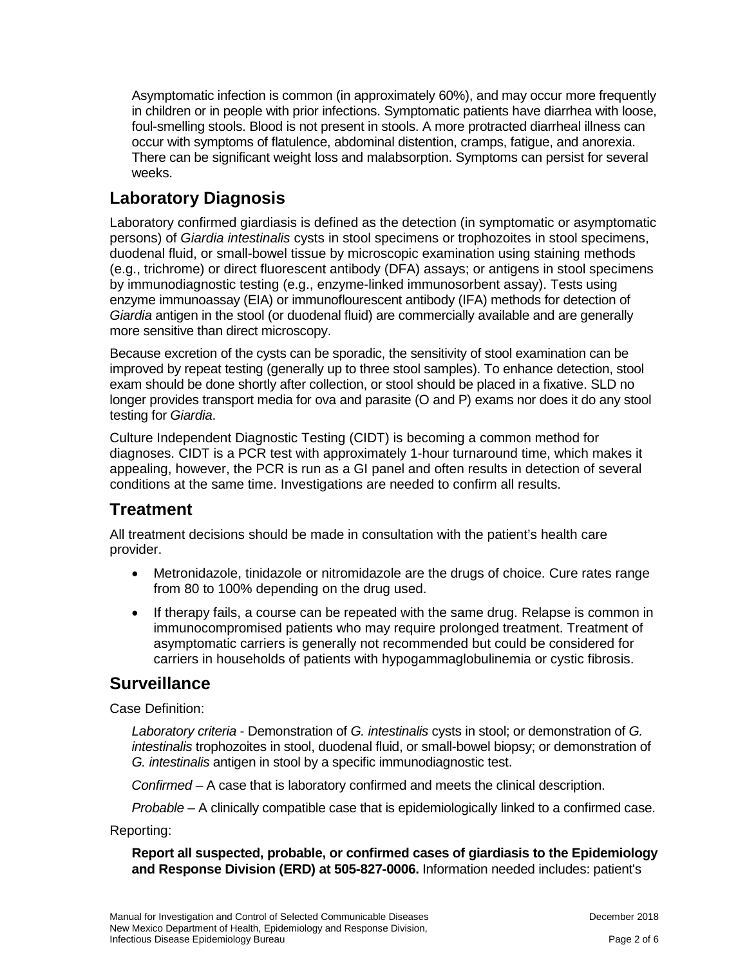Asymptomatic infection is common (in approximately 60%), and may occur more frequently in children or in people with prior infections. Symptomatic patients have diarrhea with loose, foul-smelling stools. Blood is not present in stools. A more protracted diarrheal illness can occur with symptoms of flatulence, abdominal distention, cramps, fatigue, and anorexia. There can be significant weight loss and malabsorption. Symptoms can persist for several weeks.

## **Laboratory Diagnosis**

Laboratory confirmed giardiasis is defined as the detection (in symptomatic or asymptomatic persons) of *Giardia intestinalis* cysts in stool specimens or trophozoites in stool specimens, duodenal fluid, or small-bowel tissue by microscopic examination using staining methods (e.g., trichrome) or direct fluorescent antibody (DFA) assays; or antigens in stool specimens by immunodiagnostic testing (e.g., enzyme-linked immunosorbent assay). Tests using enzyme immunoassay (EIA) or immunoflourescent antibody (IFA) methods for detection of *Giardia* antigen in the stool (or duodenal fluid) are commercially available and are generally more sensitive than direct microscopy.

Because excretion of the cysts can be sporadic, the sensitivity of stool examination can be improved by repeat testing (generally up to three stool samples). To enhance detection, stool exam should be done shortly after collection, or stool should be placed in a fixative. SLD no longer provides transport media for ova and parasite (O and P) exams nor does it do any stool testing for *Giardia*.

Culture Independent Diagnostic Testing (CIDT) is becoming a common method for diagnoses. CIDT is a PCR test with approximately 1-hour turnaround time, which makes it appealing, however, the PCR is run as a GI panel and often results in detection of several conditions at the same time. Investigations are needed to confirm all results.

#### **Treatment**

All treatment decisions should be made in consultation with the patient's health care provider.

- Metronidazole, tinidazole or nitromidazole are the drugs of choice. Cure rates range from 80 to 100% depending on the drug used.
- If therapy fails, a course can be repeated with the same drug. Relapse is common in immunocompromised patients who may require prolonged treatment. Treatment of asymptomatic carriers is generally not recommended but could be considered for carriers in households of patients with hypogammaglobulinemia or cystic fibrosis.

#### **Surveillance**

Case Definition:

*Laboratory criteria* - Demonstration of *G. intestinalis* cysts in stool; or demonstration of *G. intestinalis* trophozoites in stool, duodenal fluid, or small-bowel biopsy; or demonstration of *G. intestinalis* antigen in stool by a specific immunodiagnostic test.

*Confirmed* – A case that is laboratory confirmed and meets the clinical description.

*Probable* – A clinically compatible case that is epidemiologically linked to a confirmed case.

Reporting:

**Report all suspected, probable, or confirmed cases of giardiasis to the Epidemiology and Response Division (ERD) at 505-827-0006.** Information needed includes: patient's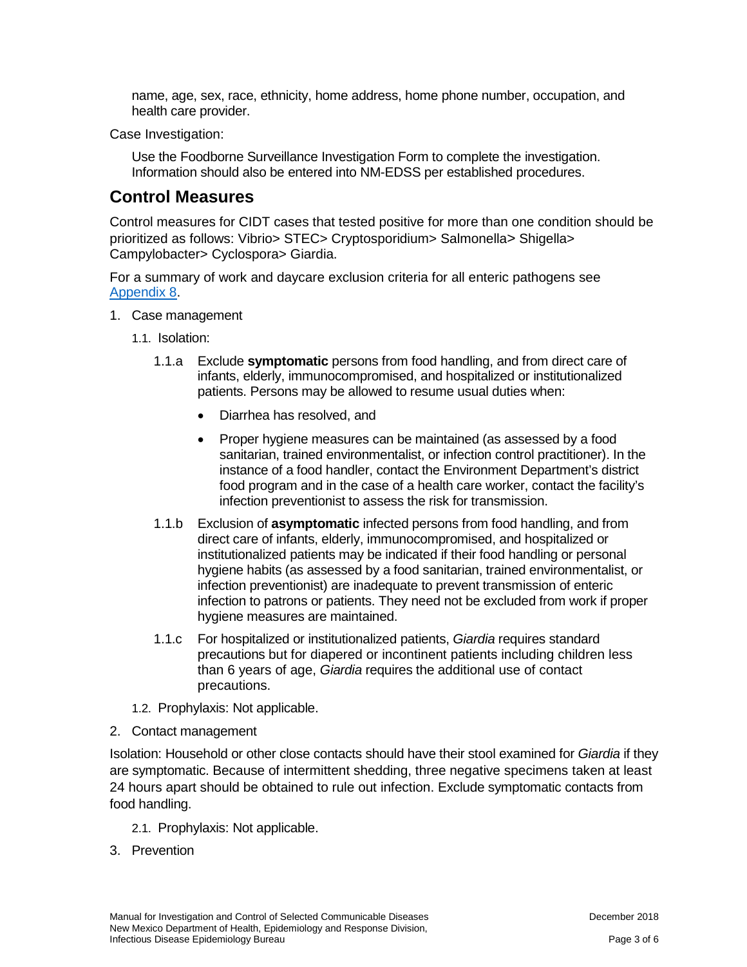name, age, sex, race, ethnicity, home address, home phone number, occupation, and health care provider.

Case Investigation:

Use the Foodborne Surveillance Investigation Form to complete the investigation. Information should also be entered into NM-EDSS per established procedures.

#### **Control Measures**

Control measures for CIDT cases that tested positive for more than one condition should be prioritized as follows: Vibrio> STEC> Cryptosporidium> Salmonella> Shigella> Campylobacter> Cyclospora> Giardia.

For a summary of work and daycare exclusion criteria for all enteric pathogens see [Appendix 8.](https://nmhealth.org/publication/view/general/5156/)

- 1. Case management
	- 1.1. Isolation:
		- 1.1.a Exclude **symptomatic** persons from food handling, and from direct care of infants, elderly, immunocompromised, and hospitalized or institutionalized patients. Persons may be allowed to resume usual duties when:
			- Diarrhea has resolved, and
			- Proper hygiene measures can be maintained (as assessed by a food sanitarian, trained environmentalist, or infection control practitioner). In the instance of a food handler, contact the Environment Department's district food program and in the case of a health care worker, contact the facility's infection preventionist to assess the risk for transmission.
		- 1.1.b Exclusion of **asymptomatic** infected persons from food handling, and from direct care of infants, elderly, immunocompromised, and hospitalized or institutionalized patients may be indicated if their food handling or personal hygiene habits (as assessed by a food sanitarian, trained environmentalist, or infection preventionist) are inadequate to prevent transmission of enteric infection to patrons or patients. They need not be excluded from work if proper hygiene measures are maintained.
		- 1.1.c For hospitalized or institutionalized patients, *Giardia* requires standard precautions but for diapered or incontinent patients including children less than 6 years of age, *Giardia* requires the additional use of contact precautions.
	- 1.2. Prophylaxis: Not applicable.
- 2. Contact management

Isolation: Household or other close contacts should have their stool examined for *Giardia* if they are symptomatic. Because of intermittent shedding, three negative specimens taken at least 24 hours apart should be obtained to rule out infection. Exclude symptomatic contacts from food handling.

- 2.1. Prophylaxis: Not applicable.
- 3. Prevention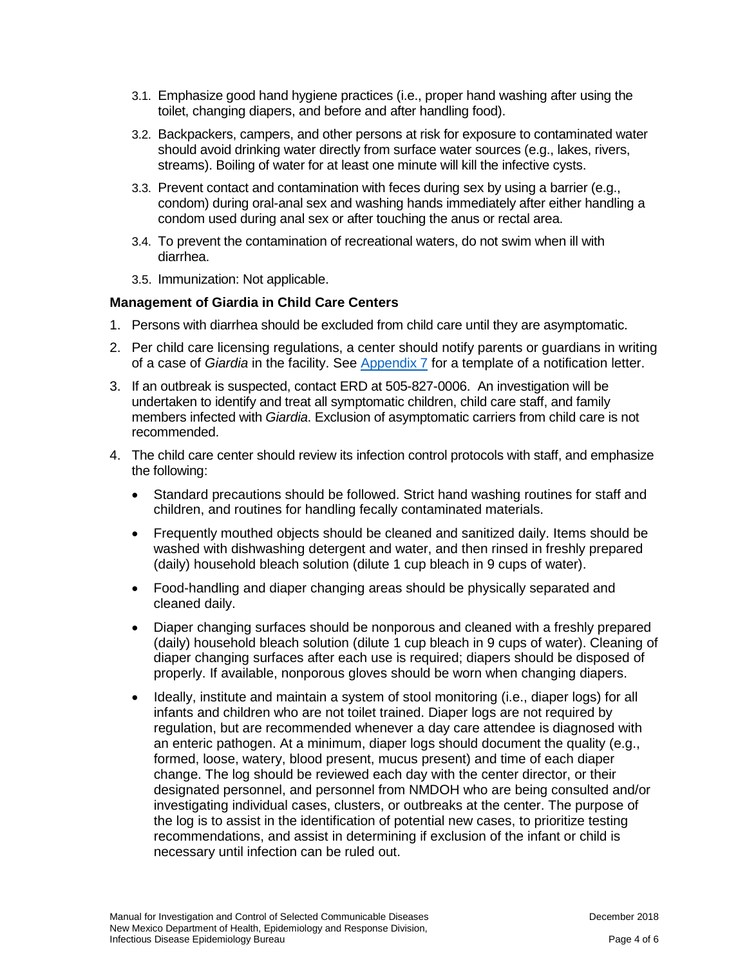- 3.1. Emphasize good hand hygiene practices (i.e., proper hand washing after using the toilet, changing diapers, and before and after handling food).
- 3.2. Backpackers, campers, and other persons at risk for exposure to contaminated water should avoid drinking water directly from surface water sources (e.g., lakes, rivers, streams). Boiling of water for at least one minute will kill the infective cysts.
- 3.3. Prevent contact and contamination with feces during sex by using a barrier (e.g., condom) during oral-anal sex and washing hands immediately after either handling a condom used during anal sex or after touching the anus or rectal area.
- 3.4. To prevent the contamination of recreational waters, do not swim when ill with diarrhea.
- 3.5. Immunization: Not applicable.

#### **Management of Giardia in Child Care Centers**

- 1. Persons with diarrhea should be excluded from child care until they are asymptomatic.
- 2. Per child care licensing regulations, a center should notify parents or guardians in writing of a case of *Giardia* in the facility. See [Appendix 7](https://nmhealth.org/publication/view/general/5155/) for a template of a notification letter.
- 3. If an outbreak is suspected, contact ERD at 505-827-0006.An investigation will be undertaken to identify and treat all symptomatic children, child care staff, and family members infected with *Giardia*. Exclusion of asymptomatic carriers from child care is not recommended.
- 4. The child care center should review its infection control protocols with staff, and emphasize the following:
	- Standard precautions should be followed. Strict hand washing routines for staff and children, and routines for handling fecally contaminated materials.
	- Frequently mouthed objects should be cleaned and sanitized daily. Items should be washed with dishwashing detergent and water, and then rinsed in freshly prepared (daily) household bleach solution (dilute 1 cup bleach in 9 cups of water).
	- Food-handling and diaper changing areas should be physically separated and cleaned daily.
	- Diaper changing surfaces should be nonporous and cleaned with a freshly prepared (daily) household bleach solution (dilute 1 cup bleach in 9 cups of water). Cleaning of diaper changing surfaces after each use is required; diapers should be disposed of properly. If available, nonporous gloves should be worn when changing diapers.
	- Ideally, institute and maintain a system of stool monitoring (i.e., diaper logs) for all infants and children who are not toilet trained. Diaper logs are not required by regulation, but are recommended whenever a day care attendee is diagnosed with an enteric pathogen. At a minimum, diaper logs should document the quality (e.g., formed, loose, watery, blood present, mucus present) and time of each diaper change. The log should be reviewed each day with the center director, or their designated personnel, and personnel from NMDOH who are being consulted and/or investigating individual cases, clusters, or outbreaks at the center. The purpose of the log is to assist in the identification of potential new cases, to prioritize testing recommendations, and assist in determining if exclusion of the infant or child is necessary until infection can be ruled out.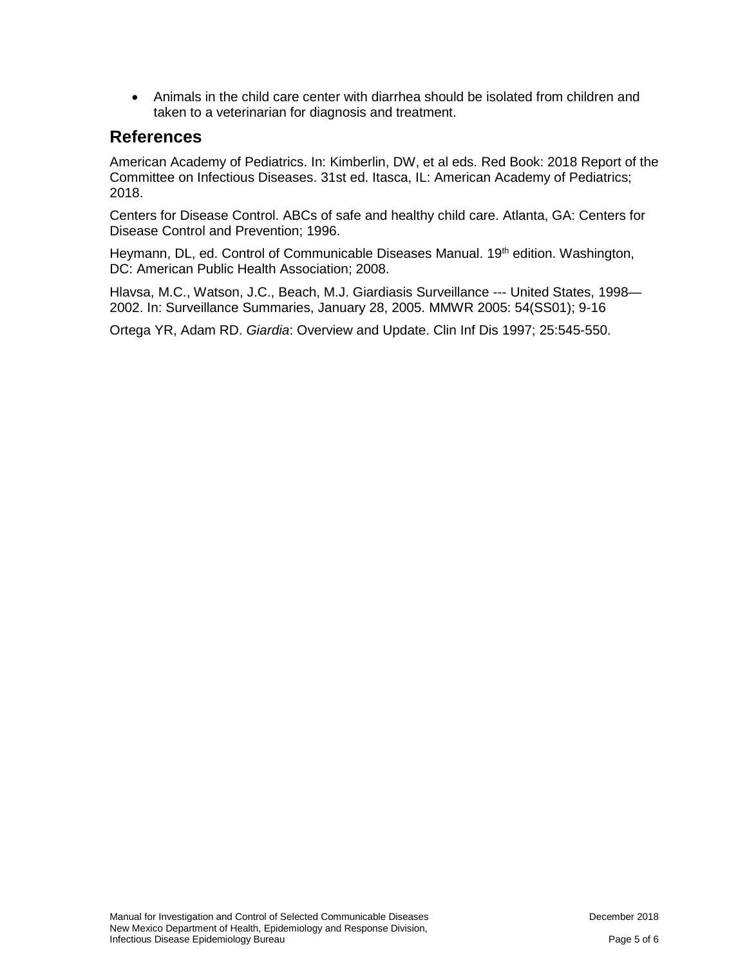• Animals in the child care center with diarrhea should be isolated from children and taken to a veterinarian for diagnosis and treatment.

#### **References**

American Academy of Pediatrics. In: Kimberlin, DW, et al eds. Red Book: 2018 Report of the Committee on Infectious Diseases. 31st ed. Itasca, IL: American Academy of Pediatrics; 2018.

Centers for Disease Control. ABCs of safe and healthy child care. Atlanta, GA: Centers for Disease Control and Prevention; 1996.

Heymann, DL, ed. Control of Communicable Diseases Manual. 19<sup>th</sup> edition. Washington, DC: American Public Health Association; 2008.

Hlavsa, M.C., Watson, J.C., Beach, M.J. Giardiasis Surveillance --- United States, 1998— 2002. In: Surveillance Summaries, January 28, 2005. MMWR 2005: 54(SS01); 9-16

Ortega YR, Adam RD. *Giardia*: Overview and Update. Clin Inf Dis 1997; 25:545-550.